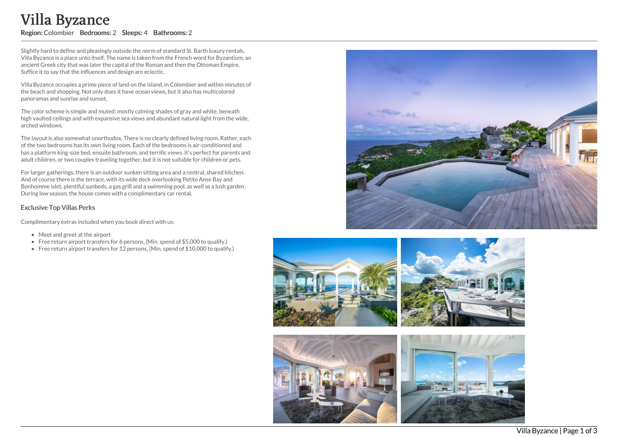## Villa Byzance

## Region: Colombier Bedrooms: 2 Sleeps: 4 Bathrooms: 2

Slightly hard to define and pleasingly outside the norm of standard St. Barth luxury rentals, Villa Byzance is a place unto itself. The name is taken from the French word for Byzantium, an ancient Greek city that was later the capital of the Roman and then the Ottoman Empire. Suffice it to say that the influences and design are eclectic.

Villa Byzance occupies a prime piece of land on the island, in Colombier and within minutes of the beach and shopping. Not only does it have ocean views, but it also has multicolored panoramas and sunrise and sunset.

The color scheme is simple and muted: mostly calming shades of gray and white, beneath high vaulted ceilings and with expansive sea views and abundant natural light from the wide, arched windows.

The layout is also somewhat unorthodox. There is no clearly defined living room. Rather, each of the two bedrooms has its own living room. Each of the bedrooms is air-conditioned and has a platform king-size bed, ensuite bathroom, and terrific views. It's perfect for parents and adult children, or two couples traveling together, but it is not suitable for children or pets.

For larger gatherings, there is an outdoor sunken sitting area and a central, shared kitchen. And of course there is the terrace, with its wide deck overlooking Petite Anse Bay and Bonhomme islet, plentiful sunbeds, a gas grill and a swimming pool, as well as a lush garden. During low season, the house comes with a complimentary car rental.

## Exclusive Top Villas Perks

Complimentary extras included when you book direct with us:

- Meet and greet at the airport
- Free return airport transfers for 6 persons, (Min. spend of \$5,000 to qualify.)
- Free return airport transfers for 12 persons, (Min. spend of \$10,000 to qualify.)





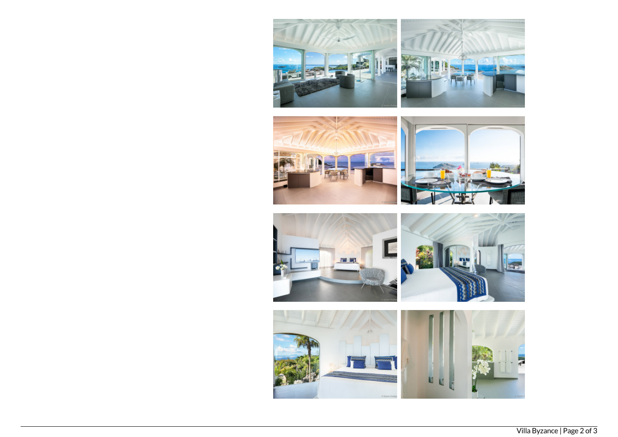